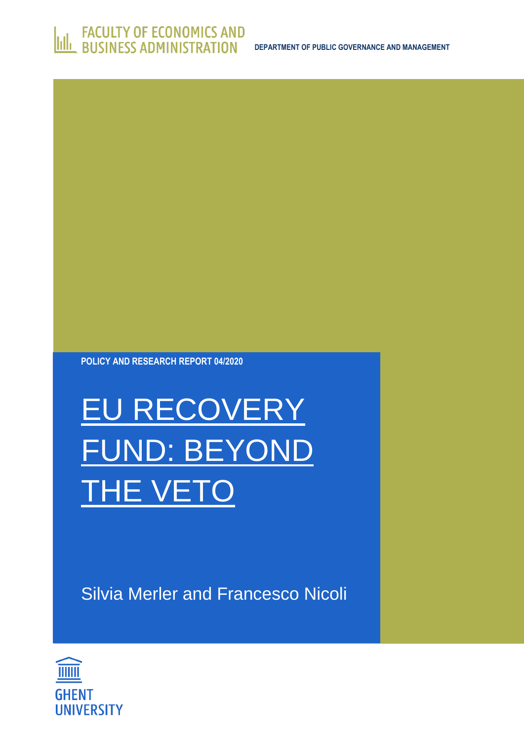

Silvia Merler and Francesco Nicoli

# EU RECOVERY FUND: BEYOND THE VETO

**POLICY AND RESEARCH REPORT 04/2020**

**ILLETT ACTES** CONTRACTE FOR ECONOMICS AND

**DEPARTMENT OF PUBLIC GOVERNANCE AND MANAGEMENT**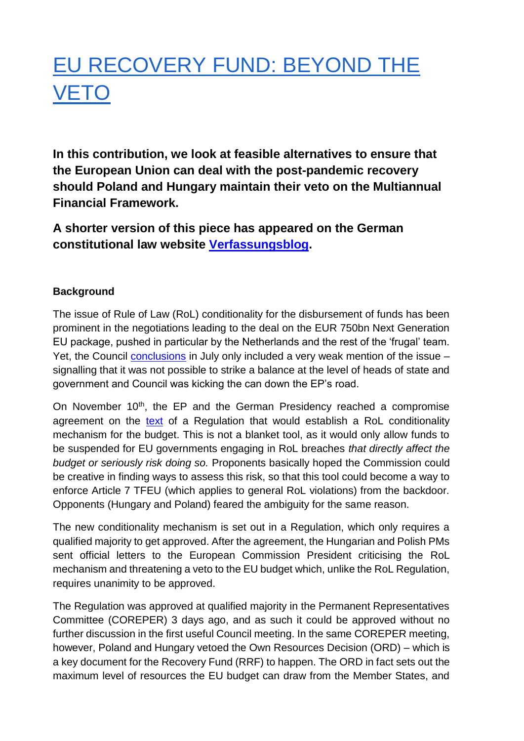# EU RECOVERY FUND: BEYOND THE VETO

**In this contribution, we look at feasible alternatives to ensure that the European Union can deal with the post-pandemic recovery should Poland and Hungary maintain their veto on the Multiannual Financial Framework.** 

### **A shorter version of this piece has appeared on the German constitutional law website [Verfassungsblog.](https://verfassungsblog.de/beyond-the-veto-of-the-eu-recovery-fund/)**

#### **Background**

The issue of Rule of Law (RoL) conditionality for the disbursement of funds has been prominent in the negotiations leading to the deal on the EUR 750bn Next Generation EU package, pushed in particular by the Netherlands and the rest of the 'frugal' team. Yet, the Council [conclusions](https://www.consilium.europa.eu/media/45109/210720-euco-final-conclusions-en.pdf) in July only included a very weak mention of the issue – signalling that it was not possible to strike a balance at the level of heads of state and government and Council was kicking the can down the EP's road.

On November 10<sup>th</sup>, the EP and the German Presidency reached a compromise agreement on the [text](https://www.europarl.europa.eu/meetdocs/2014_2019/plmrep/COMMITTEES/BUDG/DV/2020/11-12/RuleofLaw-Draftconsolidatedtext_rev_EN.pdf) of a Regulation that would establish a RoL conditionality mechanism for the budget. This is not a blanket tool, as it would only allow funds to be suspended for EU governments engaging in RoL breaches *that directly affect the budget or seriously risk doing so.* Proponents basically hoped the Commission could be creative in finding ways to assess this risk, so that this tool could become a way to enforce Article 7 TFEU (which applies to general RoL violations) from the backdoor. Opponents (Hungary and Poland) feared the ambiguity for the same reason.

The new conditionality mechanism is set out in a Regulation, which only requires a qualified majority to get approved. After the agreement, the Hungarian and Polish PMs sent official letters to the European Commission President criticising the RoL mechanism and threatening a veto to the EU budget which, unlike the RoL Regulation, requires unanimity to be approved.

The Regulation was approved at qualified majority in the Permanent Representatives Committee (COREPER) 3 days ago, and as such it could be approved without no further discussion in the first useful Council meeting. In the same COREPER meeting, however, Poland and Hungary vetoed the Own Resources Decision (ORD) – which is a key document for the Recovery Fund (RRF) to happen. The ORD in fact sets out the maximum level of resources the EU budget can draw from the Member States, and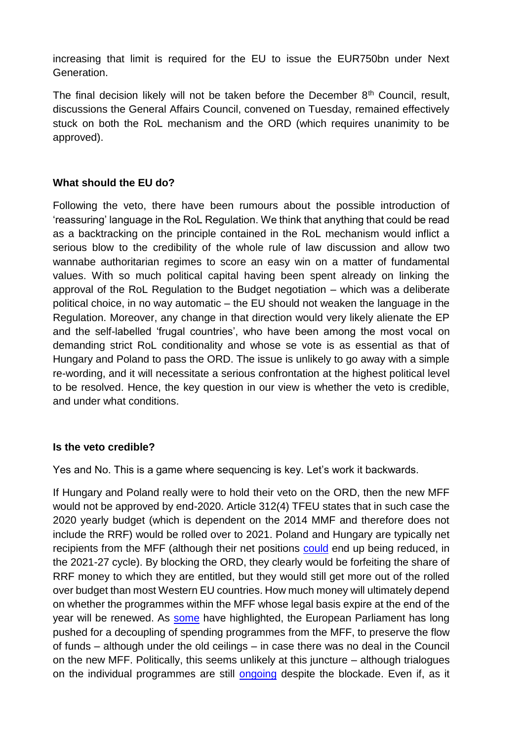increasing that limit is required for the EU to issue the EUR750bn under Next Generation.

The final decision likely will not be taken before the December  $8<sup>th</sup>$  Council, result, discussions the General Affairs Council, convened on Tuesday, remained effectively stuck on both the RoL mechanism and the ORD (which requires unanimity to be approved).

#### **What should the EU do?**

Following the veto, there have been rumours about the possible introduction of 'reassuring' language in the RoL Regulation. We think that anything that could be read as a backtracking on the principle contained in the RoL mechanism would inflict a serious blow to the credibility of the whole rule of law discussion and allow two wannabe authoritarian regimes to score an easy win on a matter of fundamental values. With so much political capital having been spent already on linking the approval of the RoL Regulation to the Budget negotiation – which was a deliberate political choice, in no way automatic – the EU should not weaken the language in the Regulation. Moreover, any change in that direction would very likely alienate the EP and the self-labelled 'frugal countries', who have been among the most vocal on demanding strict RoL conditionality and whose se vote is as essential as that of Hungary and Poland to pass the ORD. The issue is unlikely to go away with a simple re-wording, and it will necessitate a serious confrontation at the highest political level to be resolved. Hence, the key question in our view is whether the veto is credible, and under what conditions.

#### **Is the veto credible?**

Yes and No. This is a game where sequencing is key. Let's work it backwards.

If Hungary and Poland really were to hold their veto on the ORD, then the new MFF would not be approved by end-2020. Article 312(4) TFEU states that in such case the 2020 yearly budget (which is dependent on the 2014 MMF and therefore does not include the RRF) would be rolled over to 2021. Poland and Hungary are typically net recipients from the MFF (although their net positions [could](https://www.bruegel.org/2020/01/how-could-net-balances-change-in-the-next-eu-budget/) end up being reduced, in the 2021-27 cycle). By blocking the ORD, they clearly would be forfeiting the share of RRF money to which they are entitled, but they would still get more out of the rolled over budget than most Western EU countries. How much money will ultimately depend on whether the programmes within the MFF whose legal basis expire at the end of the year will be renewed. As [some](https://twitter.com/lucasguttenberg/status/1329723316492521472?s=20) have highlighted, the European Parliament has long pushed for a decoupling of spending programmes from the MFF, to preserve the flow of funds – although under the old ceilings – in case there was no deal in the Council on the new MFF. Politically, this seems unlikely at this juncture – although trialogues on the individual programmes are still [ongoing](https://twitter.com/ElisaFerreiraEC/status/1331281594389245957) despite the blockade. Even if, as it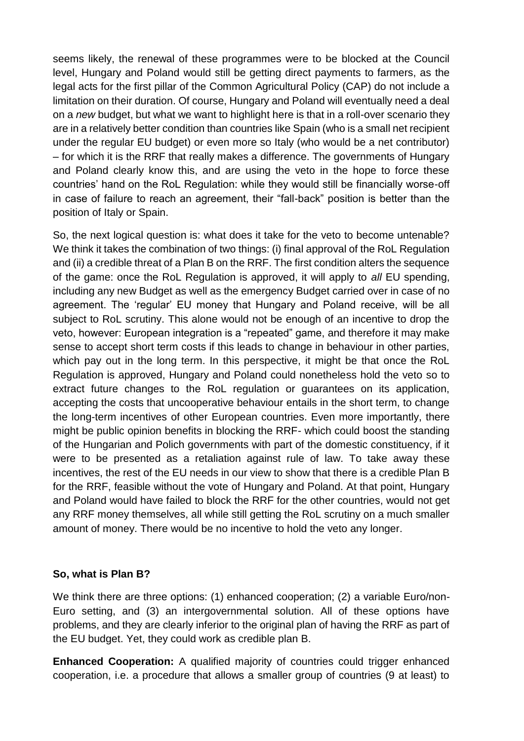seems likely, the renewal of these programmes were to be blocked at the Council level, Hungary and Poland would still be getting direct payments to farmers, as the legal acts for the first pillar of the Common Agricultural Policy (CAP) do not include a limitation on their duration. Of course, Hungary and Poland will eventually need a deal on a *new* budget, but what we want to highlight here is that in a roll-over scenario they are in a relatively better condition than countries like Spain (who is a small net recipient under the regular EU budget) or even more so Italy (who would be a net contributor) – for which it is the RRF that really makes a difference. The governments of Hungary and Poland clearly know this, and are using the veto in the hope to force these countries' hand on the RoL Regulation: while they would still be financially worse-off in case of failure to reach an agreement, their "fall-back" position is better than the position of Italy or Spain.

So, the next logical question is: what does it take for the veto to become untenable? We think it takes the combination of two things: (i) final approval of the RoL Regulation and (ii) a credible threat of a Plan B on the RRF. The first condition alters the sequence of the game: once the RoL Regulation is approved, it will apply to *all* EU spending, including any new Budget as well as the emergency Budget carried over in case of no agreement. The 'regular' EU money that Hungary and Poland receive, will be all subject to RoL scrutiny. This alone would not be enough of an incentive to drop the veto, however: European integration is a "repeated" game, and therefore it may make sense to accept short term costs if this leads to change in behaviour in other parties, which pay out in the long term. In this perspective, it might be that once the RoL Regulation is approved, Hungary and Poland could nonetheless hold the veto so to extract future changes to the RoL regulation or guarantees on its application, accepting the costs that uncooperative behaviour entails in the short term, to change the long-term incentives of other European countries. Even more importantly, there might be public opinion benefits in blocking the RRF- which could boost the standing of the Hungarian and Polich governments with part of the domestic constituency, if it were to be presented as a retaliation against rule of law. To take away these incentives, the rest of the EU needs in our view to show that there is a credible Plan B for the RRF, feasible without the vote of Hungary and Poland. At that point, Hungary and Poland would have failed to block the RRF for the other countries, would not get any RRF money themselves, all while still getting the RoL scrutiny on a much smaller amount of money. There would be no incentive to hold the veto any longer.

#### **So, what is Plan B?**

We think there are three options: (1) enhanced cooperation; (2) a variable Euro/non-Euro setting, and (3) an intergovernmental solution. All of these options have problems, and they are clearly inferior to the original plan of having the RRF as part of the EU budget. Yet, they could work as credible plan B.

**Enhanced Cooperation:** A qualified majority of countries could trigger enhanced cooperation, i.e. a procedure that allows a smaller group of countries (9 at least) to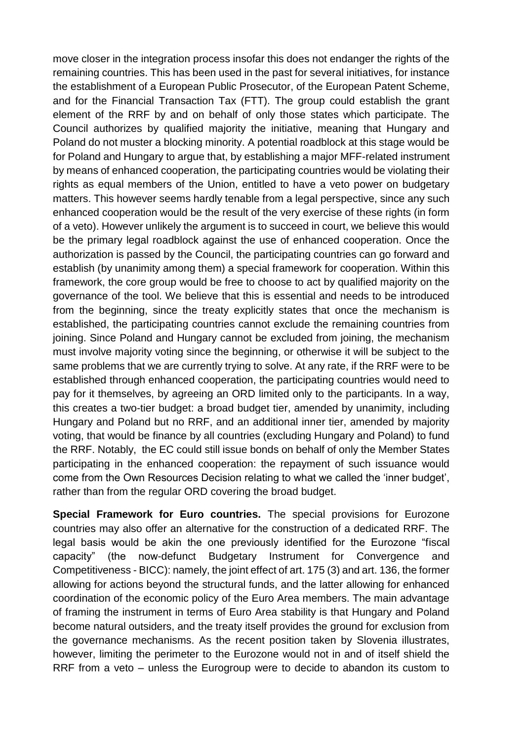move closer in the integration process insofar this does not endanger the rights of the remaining countries. This has been used in the past for several initiatives, for instance the establishment of a European Public Prosecutor, of the European Patent Scheme, and for the Financial Transaction Tax (FTT). The group could establish the grant element of the RRF by and on behalf of only those states which participate. The Council authorizes by qualified majority the initiative, meaning that Hungary and Poland do not muster a blocking minority. A potential roadblock at this stage would be for Poland and Hungary to argue that, by establishing a major MFF-related instrument by means of enhanced cooperation, the participating countries would be violating their rights as equal members of the Union, entitled to have a veto power on budgetary matters. This however seems hardly tenable from a legal perspective, since any such enhanced cooperation would be the result of the very exercise of these rights (in form of a veto). However unlikely the argument is to succeed in court, we believe this would be the primary legal roadblock against the use of enhanced cooperation. Once the authorization is passed by the Council, the participating countries can go forward and establish (by unanimity among them) a special framework for cooperation. Within this framework, the core group would be free to choose to act by qualified majority on the governance of the tool. We believe that this is essential and needs to be introduced from the beginning, since the treaty explicitly states that once the mechanism is established, the participating countries cannot exclude the remaining countries from joining. Since Poland and Hungary cannot be excluded from joining, the mechanism must involve majority voting since the beginning, or otherwise it will be subject to the same problems that we are currently trying to solve. At any rate, if the RRF were to be established through enhanced cooperation, the participating countries would need to pay for it themselves, by agreeing an ORD limited only to the participants. In a way, this creates a two-tier budget: a broad budget tier, amended by unanimity, including Hungary and Poland but no RRF, and an additional inner tier, amended by majority voting, that would be finance by all countries (excluding Hungary and Poland) to fund the RRF. Notably, the EC could still issue bonds on behalf of only the Member States participating in the enhanced cooperation: the repayment of such issuance would come from the Own Resources Decision relating to what we called the 'inner budget', rather than from the regular ORD covering the broad budget.

**Special Framework for Euro countries.** The special provisions for Eurozone countries may also offer an alternative for the construction of a dedicated RRF. The legal basis would be akin the one previously identified for the Eurozone "fiscal capacity" (the now-defunct Budgetary Instrument for Convergence and Competitiveness - BICC): namely, the joint effect of art. 175 (3) and art. 136, the former allowing for actions beyond the structural funds, and the latter allowing for enhanced coordination of the economic policy of the Euro Area members. The main advantage of framing the instrument in terms of Euro Area stability is that Hungary and Poland become natural outsiders, and the treaty itself provides the ground for exclusion from the governance mechanisms. As the recent position taken by Slovenia illustrates, however, limiting the perimeter to the Eurozone would not in and of itself shield the RRF from a veto – unless the Eurogroup were to decide to abandon its custom to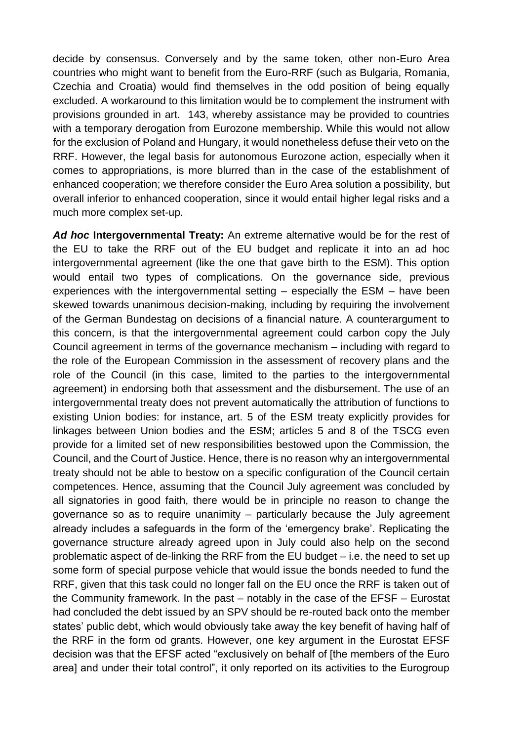decide by consensus. Conversely and by the same token, other non-Euro Area countries who might want to benefit from the Euro-RRF (such as Bulgaria, Romania, Czechia and Croatia) would find themselves in the odd position of being equally excluded. A workaround to this limitation would be to complement the instrument with provisions grounded in art. 143, whereby assistance may be provided to countries with a temporary derogation from Eurozone membership. While this would not allow for the exclusion of Poland and Hungary, it would nonetheless defuse their veto on the RRF. However, the legal basis for autonomous Eurozone action, especially when it comes to appropriations, is more blurred than in the case of the establishment of enhanced cooperation; we therefore consider the Euro Area solution a possibility, but overall inferior to enhanced cooperation, since it would entail higher legal risks and a much more complex set-up.

*Ad hoc* **Intergovernmental Treaty:** An extreme alternative would be for the rest of the EU to take the RRF out of the EU budget and replicate it into an ad hoc intergovernmental agreement (like the one that gave birth to the ESM). This option would entail two types of complications. On the governance side, previous experiences with the intergovernmental setting – especially the ESM – have been skewed towards unanimous decision-making, including by requiring the involvement of the German Bundestag on decisions of a financial nature. A counterargument to this concern, is that the intergovernmental agreement could carbon copy the July Council agreement in terms of the governance mechanism – including with regard to the role of the European Commission in the assessment of recovery plans and the role of the Council (in this case, limited to the parties to the intergovernmental agreement) in endorsing both that assessment and the disbursement. The use of an intergovernmental treaty does not prevent automatically the attribution of functions to existing Union bodies: for instance, art. 5 of the ESM treaty explicitly provides for linkages between Union bodies and the ESM; articles 5 and 8 of the TSCG even provide for a limited set of new responsibilities bestowed upon the Commission, the Council, and the Court of Justice. Hence, there is no reason why an intergovernmental treaty should not be able to bestow on a specific configuration of the Council certain competences. Hence, assuming that the Council July agreement was concluded by all signatories in good faith, there would be in principle no reason to change the governance so as to require unanimity – particularly because the July agreement already includes a safeguards in the form of the 'emergency brake'. Replicating the governance structure already agreed upon in July could also help on the second problematic aspect of de-linking the RRF from the EU budget – i.e. the need to set up some form of special purpose vehicle that would issue the bonds needed to fund the RRF, given that this task could no longer fall on the EU once the RRF is taken out of the Community framework. In the past – notably in the case of the EFSF – Eurostat had concluded the debt issued by an SPV should be re-routed back onto the member states' public debt, which would obviously take away the key benefit of having half of the RRF in the form od grants. However, one key argument in the Eurostat EFSF decision was that the EFSF acted "exclusively on behalf of [the members of the Euro area] and under their total control", it only reported on its activities to the Eurogroup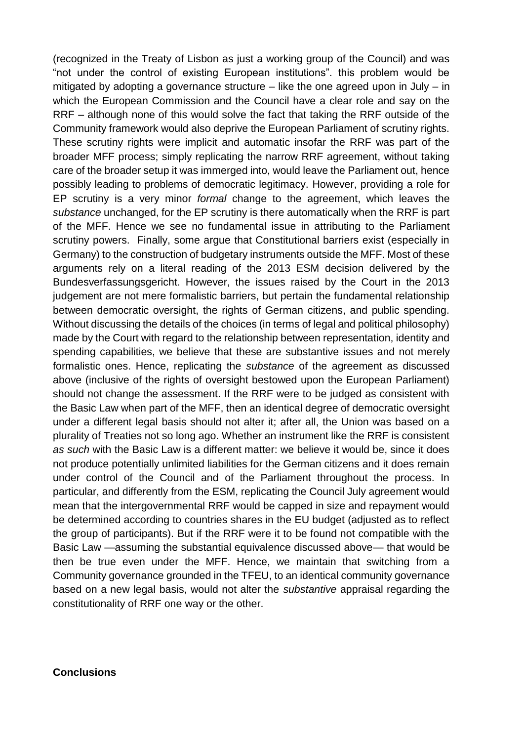(recognized in the Treaty of Lisbon as just a working group of the Council) and was "not under the control of existing European institutions". this problem would be mitigated by adopting a governance structure – like the one agreed upon in July – in which the European Commission and the Council have a clear role and say on the RRF – although none of this would solve the fact that taking the RRF outside of the Community framework would also deprive the European Parliament of scrutiny rights. These scrutiny rights were implicit and automatic insofar the RRF was part of the broader MFF process; simply replicating the narrow RRF agreement, without taking care of the broader setup it was immerged into, would leave the Parliament out, hence possibly leading to problems of democratic legitimacy. However, providing a role for EP scrutiny is a very minor *formal* change to the agreement, which leaves the *substance* unchanged, for the EP scrutiny is there automatically when the RRF is part of the MFF. Hence we see no fundamental issue in attributing to the Parliament scrutiny powers. Finally, some argue that Constitutional barriers exist (especially in Germany) to the construction of budgetary instruments outside the MFF. Most of these arguments rely on a literal reading of the 2013 ESM decision delivered by the Bundesverfassungsgericht. However, the issues raised by the Court in the 2013 judgement are not mere formalistic barriers, but pertain the fundamental relationship between democratic oversight, the rights of German citizens, and public spending. Without discussing the details of the choices (in terms of legal and political philosophy) made by the Court with regard to the relationship between representation, identity and spending capabilities, we believe that these are substantive issues and not merely formalistic ones. Hence, replicating the *substance* of the agreement as discussed above (inclusive of the rights of oversight bestowed upon the European Parliament) should not change the assessment. If the RRF were to be judged as consistent with the Basic Law when part of the MFF, then an identical degree of democratic oversight under a different legal basis should not alter it; after all, the Union was based on a plurality of Treaties not so long ago. Whether an instrument like the RRF is consistent *as such* with the Basic Law is a different matter: we believe it would be, since it does not produce potentially unlimited liabilities for the German citizens and it does remain under control of the Council and of the Parliament throughout the process. In particular, and differently from the ESM, replicating the Council July agreement would mean that the intergovernmental RRF would be capped in size and repayment would be determined according to countries shares in the EU budget (adjusted as to reflect the group of participants). But if the RRF were it to be found not compatible with the Basic Law —assuming the substantial equivalence discussed above— that would be then be true even under the MFF. Hence, we maintain that switching from a Community governance grounded in the TFEU, to an identical community governance based on a new legal basis, would not alter the *substantive* appraisal regarding the constitutionality of RRF one way or the other.

#### **Conclusions**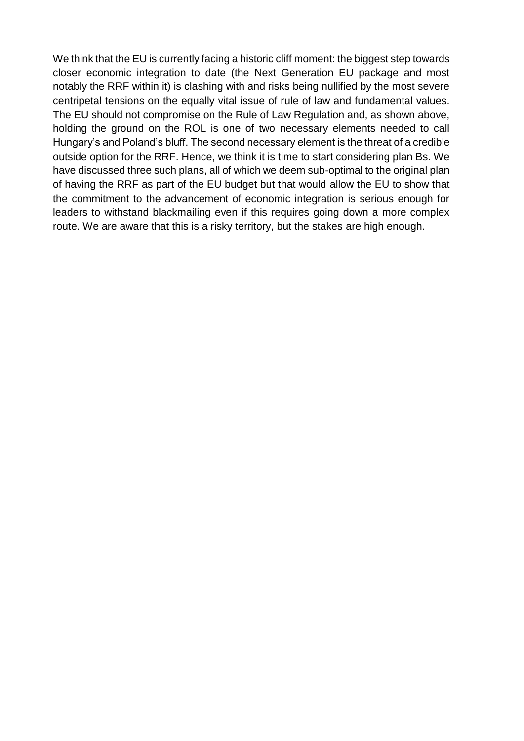We think that the EU is currently facing a historic cliff moment: the biggest step towards closer economic integration to date (the Next Generation EU package and most notably the RRF within it) is clashing with and risks being nullified by the most severe centripetal tensions on the equally vital issue of rule of law and fundamental values. The EU should not compromise on the Rule of Law Regulation and, as shown above, holding the ground on the ROL is one of two necessary elements needed to call Hungary's and Poland's bluff. The second necessary element is the threat of a credible outside option for the RRF. Hence, we think it is time to start considering plan Bs. We have discussed three such plans, all of which we deem sub-optimal to the original plan of having the RRF as part of the EU budget but that would allow the EU to show that the commitment to the advancement of economic integration is serious enough for leaders to withstand blackmailing even if this requires going down a more complex route. We are aware that this is a risky territory, but the stakes are high enough.